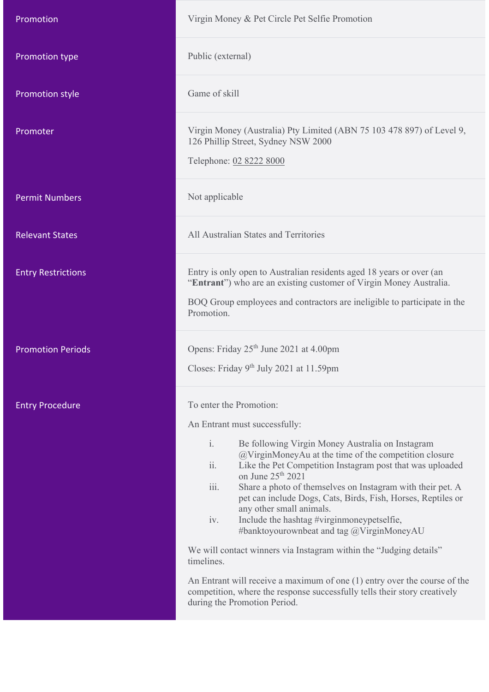| Promotion                 | Virgin Money & Pet Circle Pet Selfie Promotion                                                                                                                                                                                                                                                                                                                                                                                                                                                                                                                                                                                                                                                                                                                                                                                                                   |
|---------------------------|------------------------------------------------------------------------------------------------------------------------------------------------------------------------------------------------------------------------------------------------------------------------------------------------------------------------------------------------------------------------------------------------------------------------------------------------------------------------------------------------------------------------------------------------------------------------------------------------------------------------------------------------------------------------------------------------------------------------------------------------------------------------------------------------------------------------------------------------------------------|
| Promotion type            | Public (external)                                                                                                                                                                                                                                                                                                                                                                                                                                                                                                                                                                                                                                                                                                                                                                                                                                                |
| <b>Promotion style</b>    | Game of skill                                                                                                                                                                                                                                                                                                                                                                                                                                                                                                                                                                                                                                                                                                                                                                                                                                                    |
| Promoter                  | Virgin Money (Australia) Pty Limited (ABN 75 103 478 897) of Level 9,<br>126 Phillip Street, Sydney NSW 2000<br>Telephone: 02 8222 8000                                                                                                                                                                                                                                                                                                                                                                                                                                                                                                                                                                                                                                                                                                                          |
| <b>Permit Numbers</b>     | Not applicable                                                                                                                                                                                                                                                                                                                                                                                                                                                                                                                                                                                                                                                                                                                                                                                                                                                   |
| <b>Relevant States</b>    | All Australian States and Territories                                                                                                                                                                                                                                                                                                                                                                                                                                                                                                                                                                                                                                                                                                                                                                                                                            |
| <b>Entry Restrictions</b> | Entry is only open to Australian residents aged 18 years or over (an<br>"Entrant") who are an existing customer of Virgin Money Australia.<br>BOQ Group employees and contractors are ineligible to participate in the<br>Promotion.                                                                                                                                                                                                                                                                                                                                                                                                                                                                                                                                                                                                                             |
| <b>Promotion Periods</b>  | Opens: Friday 25 <sup>th</sup> June 2021 at 4.00pm<br>Closes: Friday 9 <sup>th</sup> July 2021 at 11.59pm                                                                                                                                                                                                                                                                                                                                                                                                                                                                                                                                                                                                                                                                                                                                                        |
| <b>Entry Procedure</b>    | To enter the Promotion:<br>An Entrant must successfully:<br>$\mathbf{i}$ .<br>Be following Virgin Money Australia on Instagram<br>$@VirginMoneyAu$ at the time of the competition closure<br>ii.<br>Like the Pet Competition Instagram post that was uploaded<br>on June 25 <sup>th</sup> 2021<br>$\overline{111}$ .<br>Share a photo of themselves on Instagram with their pet. A<br>pet can include Dogs, Cats, Birds, Fish, Horses, Reptiles or<br>any other small animals.<br>Include the hashtag #virginmoneypetselfie,<br>iv.<br>#banktoyourownbeat and tag @VirginMoneyAU<br>We will contact winners via Instagram within the "Judging details"<br>timelines.<br>An Entrant will receive a maximum of one $(1)$ entry over the course of the<br>competition, where the response successfully tells their story creatively<br>during the Promotion Period. |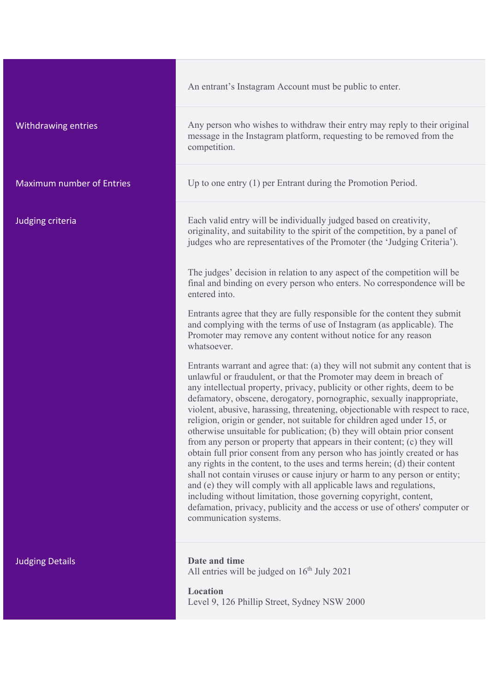|                                  | An entrant's Instagram Account must be public to enter.                                                                                                                                                                                                                                                                                                                                                                                                                                                                                                                                                                                                                                                                                                                                                                                                                                                                                                                                                                                                                                                                    |
|----------------------------------|----------------------------------------------------------------------------------------------------------------------------------------------------------------------------------------------------------------------------------------------------------------------------------------------------------------------------------------------------------------------------------------------------------------------------------------------------------------------------------------------------------------------------------------------------------------------------------------------------------------------------------------------------------------------------------------------------------------------------------------------------------------------------------------------------------------------------------------------------------------------------------------------------------------------------------------------------------------------------------------------------------------------------------------------------------------------------------------------------------------------------|
| Withdrawing entries              | Any person who wishes to withdraw their entry may reply to their original<br>message in the Instagram platform, requesting to be removed from the<br>competition.                                                                                                                                                                                                                                                                                                                                                                                                                                                                                                                                                                                                                                                                                                                                                                                                                                                                                                                                                          |
| <b>Maximum number of Entries</b> | Up to one entry $(1)$ per Entrant during the Promotion Period.                                                                                                                                                                                                                                                                                                                                                                                                                                                                                                                                                                                                                                                                                                                                                                                                                                                                                                                                                                                                                                                             |
| Judging criteria                 | Each valid entry will be individually judged based on creativity,<br>originality, and suitability to the spirit of the competition, by a panel of<br>judges who are representatives of the Promoter (the 'Judging Criteria').                                                                                                                                                                                                                                                                                                                                                                                                                                                                                                                                                                                                                                                                                                                                                                                                                                                                                              |
|                                  | The judges' decision in relation to any aspect of the competition will be<br>final and binding on every person who enters. No correspondence will be<br>entered into.                                                                                                                                                                                                                                                                                                                                                                                                                                                                                                                                                                                                                                                                                                                                                                                                                                                                                                                                                      |
|                                  | Entrants agree that they are fully responsible for the content they submit<br>and complying with the terms of use of Instagram (as applicable). The<br>Promoter may remove any content without notice for any reason<br>whatsoever.                                                                                                                                                                                                                                                                                                                                                                                                                                                                                                                                                                                                                                                                                                                                                                                                                                                                                        |
|                                  | Entrants warrant and agree that: (a) they will not submit any content that is<br>unlawful or fraudulent, or that the Promoter may deem in breach of<br>any intellectual property, privacy, publicity or other rights, deem to be<br>defamatory, obscene, derogatory, pornographic, sexually inappropriate,<br>violent, abusive, harassing, threatening, objectionable with respect to race,<br>religion, origin or gender, not suitable for children aged under 15, or<br>otherwise unsuitable for publication; (b) they will obtain prior consent<br>from any person or property that appears in their content; (c) they will<br>obtain full prior consent from any person who has jointly created or has<br>any rights in the content, to the uses and terms herein; (d) their content<br>shall not contain viruses or cause injury or harm to any person or entity;<br>and (e) they will comply with all applicable laws and regulations,<br>including without limitation, those governing copyright, content,<br>defamation, privacy, publicity and the access or use of others' computer or<br>communication systems. |
| <b>Judging Details</b>           | Date and time<br>All entries will be judged on $16th$ July 2021                                                                                                                                                                                                                                                                                                                                                                                                                                                                                                                                                                                                                                                                                                                                                                                                                                                                                                                                                                                                                                                            |

**Location** Level 9, 126 Phillip Street, Sydney NSW 2000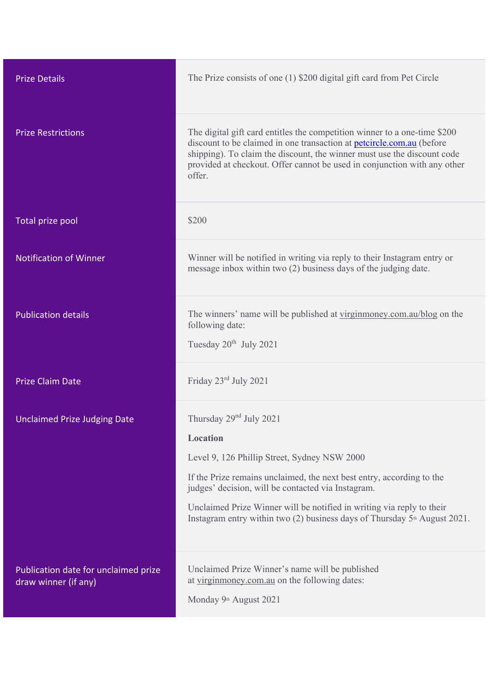| <b>Prize Details</b>                                         | The Prize consists of one (1) \$200 digital gift card from Pet Circle                                                                                                                                                                                                                                                                                                                  |
|--------------------------------------------------------------|----------------------------------------------------------------------------------------------------------------------------------------------------------------------------------------------------------------------------------------------------------------------------------------------------------------------------------------------------------------------------------------|
| <b>Prize Restrictions</b>                                    | The digital gift card entitles the competition winner to a one-time \$200<br>discount to be claimed in one transaction at petcircle.com.au (before<br>shipping). To claim the discount, the winner must use the discount code<br>provided at checkout. Offer cannot be used in conjunction with any other<br>offer.                                                                    |
| Total prize pool                                             | \$200                                                                                                                                                                                                                                                                                                                                                                                  |
| <b>Notification of Winner</b>                                | Winner will be notified in writing via reply to their Instagram entry or<br>message inbox within two (2) business days of the judging date.                                                                                                                                                                                                                                            |
| <b>Publication details</b>                                   | The winners' name will be published at virginmoney.com.au/blog on the<br>following date:<br>Tuesday $20^{th}$ July 2021                                                                                                                                                                                                                                                                |
| <b>Prize Claim Date</b>                                      | Friday 23rd July 2021                                                                                                                                                                                                                                                                                                                                                                  |
| <b>Unclaimed Prize Judging Date</b>                          | Thursday $29nd$ July 2021<br>Location<br>Level 9, 126 Phillip Street, Sydney NSW 2000<br>If the Prize remains unclaimed, the next best entry, according to the<br>judges' decision, will be contacted via Instagram.<br>Unclaimed Prize Winner will be notified in writing via reply to their<br>Instagram entry within two (2) business days of Thursday 5 <sup>th</sup> August 2021. |
| Publication date for unclaimed prize<br>draw winner (if any) | Unclaimed Prize Winner's name will be published<br>at virginmoney.com.au on the following dates:<br>Monday 9th August 2021                                                                                                                                                                                                                                                             |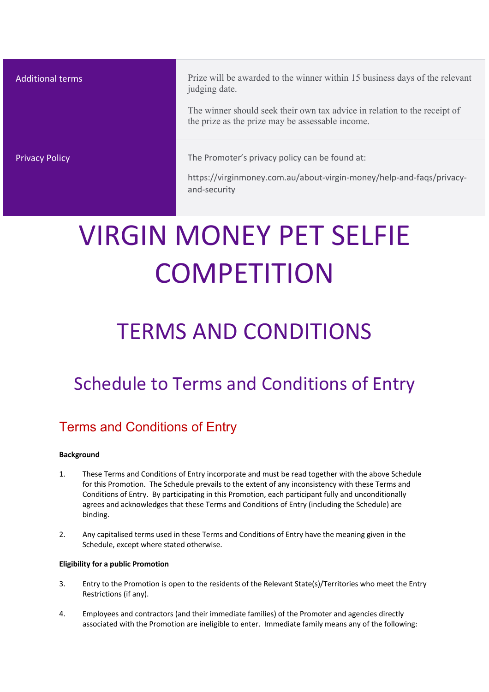Additional terms **Prize will be awarded to the winner within 15 business days of the relevant** judging date.

> The winner should seek their own tax advice in relation to the receipt of the prize as the prize may be assessable income.

**Privacy Policy The Promoter's privacy policy can be found at:** 

https://virginmoney.com.au/about-virgin-money/help-and-faqs/privacyand-security

# VIRGIN MONEY PET SELFIE **COMPETITION**

## TERMS AND CONDITIONS

### Schedule to Terms and Conditions of Entry

### Terms and Conditions of Entry

#### **Background**

- 1. These Terms and Conditions of Entry incorporate and must be read together with the above Schedule for this Promotion. The Schedule prevails to the extent of any inconsistency with these Terms and Conditions of Entry. By participating in this Promotion, each participant fully and unconditionally agrees and acknowledges that these Terms and Conditions of Entry (including the Schedule) are binding.
- 2. Any capitalised terms used in these Terms and Conditions of Entry have the meaning given in the Schedule, except where stated otherwise.

#### **Eligibility for a public Promotion**

- 3. Entry to the Promotion is open to the residents of the Relevant State(s)/Territories who meet the Entry Restrictions (if any).
- 4. Employees and contractors (and their immediate families) of the Promoter and agencies directly associated with the Promotion are ineligible to enter. Immediate family means any of the following: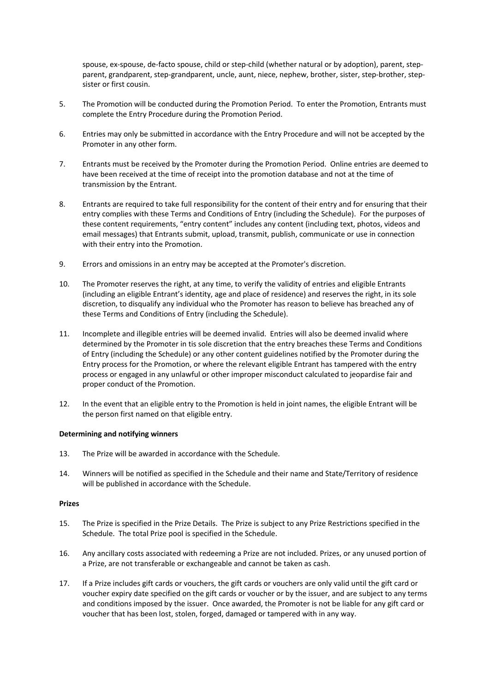spouse, ex-spouse, de-facto spouse, child or step-child (whether natural or by adoption), parent, stepparent, grandparent, step-grandparent, uncle, aunt, niece, nephew, brother, sister, step-brother, stepsister or first cousin.

- 5. The Promotion will be conducted during the Promotion Period. To enter the Promotion, Entrants must complete the Entry Procedure during the Promotion Period.
- 6. Entries may only be submitted in accordance with the Entry Procedure and will not be accepted by the Promoter in any other form.
- 7. Entrants must be received by the Promoter during the Promotion Period. Online entries are deemed to have been received at the time of receipt into the promotion database and not at the time of transmission by the Entrant.
- 8. Entrants are required to take full responsibility for the content of their entry and for ensuring that their entry complies with these Terms and Conditions of Entry (including the Schedule). For the purposes of these content requirements, "entry content" includes any content (including text, photos, videos and email messages) that Entrants submit, upload, transmit, publish, communicate or use in connection with their entry into the Promotion.
- 9. Errors and omissions in an entry may be accepted at the Promoter's discretion.
- 10. The Promoter reserves the right, at any time, to verify the validity of entries and eligible Entrants (including an eligible Entrant's identity, age and place of residence) and reserves the right, in its sole discretion, to disqualify any individual who the Promoter has reason to believe has breached any of these Terms and Conditions of Entry (including the Schedule).
- 11. Incomplete and illegible entries will be deemed invalid. Entries will also be deemed invalid where determined by the Promoter in tis sole discretion that the entry breaches these Terms and Conditions of Entry (including the Schedule) or any other content guidelines notified by the Promoter during the Entry process for the Promotion, or where the relevant eligible Entrant has tampered with the entry process or engaged in any unlawful or other improper misconduct calculated to jeopardise fair and proper conduct of the Promotion.
- 12. In the event that an eligible entry to the Promotion is held in joint names, the eligible Entrant will be the person first named on that eligible entry.

#### **Determining and notifying winners**

- 13. The Prize will be awarded in accordance with the Schedule.
- 14. Winners will be notified as specified in the Schedule and their name and State/Territory of residence will be published in accordance with the Schedule.

#### **Prizes**

- 15. The Prize is specified in the Prize Details. The Prize is subject to any Prize Restrictions specified in the Schedule. The total Prize pool is specified in the Schedule.
- 16. Any ancillary costs associated with redeeming a Prize are not included. Prizes, or any unused portion of a Prize, are not transferable or exchangeable and cannot be taken as cash.
- 17. If a Prize includes gift cards or vouchers, the gift cards or vouchers are only valid until the gift card or voucher expiry date specified on the gift cards or voucher or by the issuer, and are subject to any terms and conditions imposed by the issuer. Once awarded, the Promoter is not be liable for any gift card or voucher that has been lost, stolen, forged, damaged or tampered with in any way.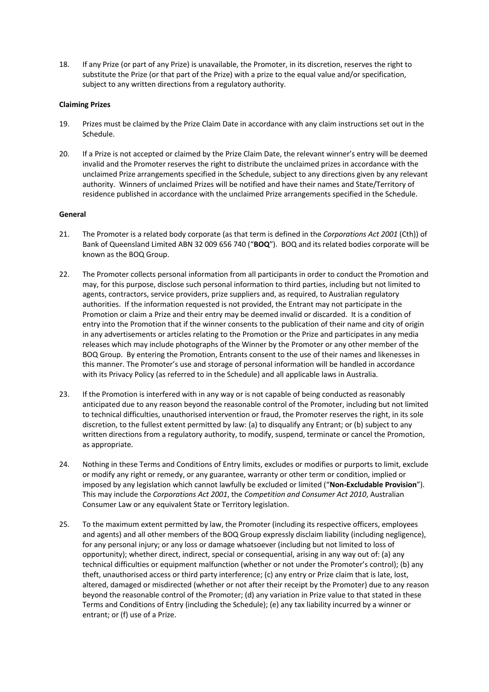18. If any Prize (or part of any Prize) is unavailable, the Promoter, in its discretion, reserves the right to substitute the Prize (or that part of the Prize) with a prize to the equal value and/or specification, subject to any written directions from a regulatory authority.

#### **Claiming Prizes**

- 19. Prizes must be claimed by the Prize Claim Date in accordance with any claim instructions set out in the Schedule.
- 20. If a Prize is not accepted or claimed by the Prize Claim Date, the relevant winner's entry will be deemed invalid and the Promoter reserves the right to distribute the unclaimed prizes in accordance with the unclaimed Prize arrangements specified in the Schedule, subject to any directions given by any relevant authority. Winners of unclaimed Prizes will be notified and have their names and State/Territory of residence published in accordance with the unclaimed Prize arrangements specified in the Schedule.

#### **General**

- 21. The Promoter is a related body corporate (as that term is defined in the *Corporations Act 2001* (Cth)) of Bank of Queensland Limited ABN 32 009 656 740 ("**BOQ**"). BOQ and its related bodies corporate will be known as the BOQ Group.
- 22. The Promoter collects personal information from all participants in order to conduct the Promotion and may, for this purpose, disclose such personal information to third parties, including but not limited to agents, contractors, service providers, prize suppliers and, as required, to Australian regulatory authorities. If the information requested is not provided, the Entrant may not participate in the Promotion or claim a Prize and their entry may be deemed invalid or discarded. It is a condition of entry into the Promotion that if the winner consents to the publication of their name and city of origin in any advertisements or articles relating to the Promotion or the Prize and participates in any media releases which may include photographs of the Winner by the Promoter or any other member of the BOQ Group. By entering the Promotion, Entrants consent to the use of their names and likenesses in this manner. The Promoter's use and storage of personal information will be handled in accordance with its Privacy Policy (as referred to in the Schedule) and all applicable laws in Australia.
- 23. If the Promotion is interfered with in any way or is not capable of being conducted as reasonably anticipated due to any reason beyond the reasonable control of the Promoter, including but not limited to technical difficulties, unauthorised intervention or fraud, the Promoter reserves the right, in its sole discretion, to the fullest extent permitted by law: (a) to disqualify any Entrant; or (b) subject to any written directions from a regulatory authority, to modify, suspend, terminate or cancel the Promotion, as appropriate.
- 24. Nothing in these Terms and Conditions of Entry limits, excludes or modifies or purports to limit, exclude or modify any right or remedy, or any guarantee, warranty or other term or condition, implied or imposed by any legislation which cannot lawfully be excluded or limited ("**Non-Excludable Provision**"). This may include the *Corporations Act 2001*, the *Competition and Consumer Act 2010*, Australian Consumer Law or any equivalent State or Territory legislation.
- 25. To the maximum extent permitted by law, the Promoter (including its respective officers, employees and agents) and all other members of the BOQ Group expressly disclaim liability (including negligence), for any personal injury; or any loss or damage whatsoever (including but not limited to loss of opportunity); whether direct, indirect, special or consequential, arising in any way out of: (a) any technical difficulties or equipment malfunction (whether or not under the Promoter's control); (b) any theft, unauthorised access or third party interference; (c) any entry or Prize claim that is late, lost, altered, damaged or misdirected (whether or not after their receipt by the Promoter) due to any reason beyond the reasonable control of the Promoter; (d) any variation in Prize value to that stated in these Terms and Conditions of Entry (including the Schedule); (e) any tax liability incurred by a winner or entrant; or (f) use of a Prize.